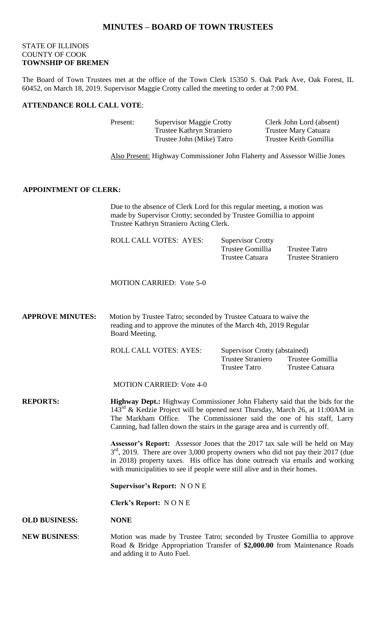# **MINUTES – BOARD OF TOWN TRUSTEES**

# STATE OF ILLINOIS COUNTY OF COOK **TOWNSHIP OF BREMEN**

The Board of Town Trustees met at the office of the Town Clerk 15350 S. Oak Park Ave, Oak Forest, IL 60452, on March 18, 2019. Supervisor Maggie Crotty called the meeting to order at 7:00 PM.

### **ATTENDANCE ROLL CALL VOTE**:

Present: Supervisor Maggie Crotty Clerk John Lord (absent) Trustee Kathryn Straniero Trustee Mary Catuara Trustee John (Mike) Tatro Trustee Keith Gomillia

Also Present: Highway Commissioner John Flaherty and Assessor Willie Jones

## **APPOINTMENT OF CLERK:**

Due to the absence of Clerk Lord for this regular meeting, a motion was made by Supervisor Crotty; seconded by Trustee Gomillia to appoint Trustee Kathryn Straniero Acting Clerk.

| <b>ROLL CALL VOTES: AYES:</b> | <b>Supervisor Crotty</b> |                          |
|-------------------------------|--------------------------|--------------------------|
|                               | Trustee Gomillia         | Trustee Tatro            |
|                               | Trustee Catuara          | <b>Trustee Straniero</b> |

MOTION CARRIED: Vote 5-0

**APPROVE MINUTES:** Motion by Trustee Tatro; seconded by Trustee Catuara to waive the reading and to approve the minutes of the March 4th, 2019 Regular Board Meeting.

ROLL CALL VOTES: AYES: Supervisor Crotty (abstained)

Trustee Straniero Trustee Gomillia Trustee Tatro Trustee Catuara

MOTION CARRIED: Vote 4-0

**REPORTS: Highway Dept.:** Highway Commissioner John Flaherty said that the bids for the  $143<sup>rd</sup>$  & Kedzie Project will be opened next Thursday, March 26, at 11:00AM in The Markham Office. The Commissioner said the one of his staff, Larry Canning, had fallen down the stairs in the garage area and is currently off.

> **Assessor's Report:** Assessor Jones that the 2017 tax sale will be held on May  $3<sup>rd</sup>$ , 2019. There are over 3,000 property owners who did not pay their 2017 (due in 2018) property taxes. His office has done outreach via emails and working with municipalities to see if people were still alive and in their homes.

**Supervisor's Report:** N O N E

**Clerk's Report:** N O N E

#### **OLD BUSINESS: NONE**

**NEW BUSINESS**: Motion was made by Trustee Tatro; seconded by Trustee Gomillia to approve Road & Bridge Appropriation Transfer of **\$2,000.00** from Maintenance Roads and adding it to Auto Fuel.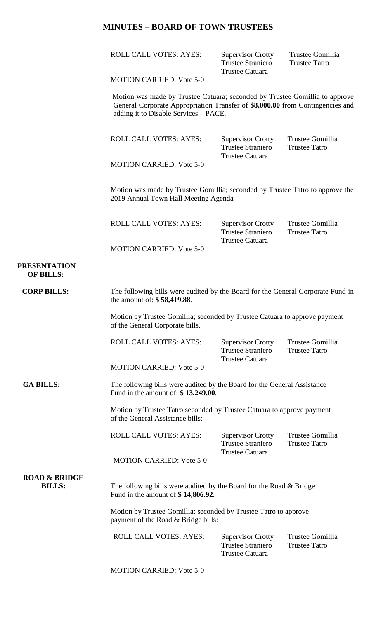# **MINUTES – BOARD OF TOWN TRUSTEES**

ROLL CALL VOTES: AYES: Supervisor Crotty Trustee Gomillia<br>Trustee Straniero Trustee Tatro Trustee Straniero Trustee Catuara

MOTION CARRIED: Vote 5-0

Motion was made by Trustee Catuara; seconded by Trustee Gomillia to approve General Corporate Appropriation Transfer of **\$8,000.00** from Contingencies and adding it to Disable Services – PACE.

| ROLL CALL VOTES: AYES:          | <b>Supervisor Crotty</b> | Trustee Gomillia |
|---------------------------------|--------------------------|------------------|
|                                 | <b>Trustee Straniero</b> | Trustee Tatro    |
|                                 | Trustee Catuara          |                  |
| <b>MOTION CARRIED: Vote 5-0</b> |                          |                  |
|                                 |                          |                  |

Motion was made by Trustee Gomillia; seconded by Trustee Tatro to approve the 2019 Annual Town Hall Meeting Agenda

| ROLL CALL VOTES: AYES:          | <b>Supervisor Crotty</b> | Trustee Gomillia |
|---------------------------------|--------------------------|------------------|
|                                 | <b>Trustee Straniero</b> | Trustee Tatro    |
|                                 | Trustee Catuara          |                  |
| <b>MOTION CARRIED: Vote 5-0</b> |                          |                  |

## **PRESENTATION OF BILLS:**

| <b>CORP BILLS:</b>                        | The following bills were audited by the Board for the General Corporate Fund in<br>the amount of: \$58,419.88.  |                                                                                |                                          |
|-------------------------------------------|-----------------------------------------------------------------------------------------------------------------|--------------------------------------------------------------------------------|------------------------------------------|
|                                           | Motion by Trustee Gomillia; seconded by Trustee Catuara to approve payment<br>of the General Corporate bills.   |                                                                                |                                          |
|                                           | ROLL CALL VOTES: AYES:                                                                                          | <b>Supervisor Crotty</b><br><b>Trustee Straniero</b>                           | Trustee Gomillia<br><b>Trustee Tatro</b> |
|                                           | <b>MOTION CARRIED: Vote 5-0</b>                                                                                 | <b>Trustee Catuara</b>                                                         |                                          |
| <b>GA BILLS:</b>                          | The following bills were audited by the Board for the General Assistance<br>Fund in the amount of: \$13,249.00. |                                                                                |                                          |
|                                           | Motion by Trustee Tatro seconded by Trustee Catuara to approve payment<br>of the General Assistance bills:      |                                                                                |                                          |
|                                           | <b>ROLL CALL VOTES: AYES:</b>                                                                                   | <b>Supervisor Crotty</b><br><b>Trustee Straniero</b>                           | Trustee Gomillia<br><b>Trustee Tatro</b> |
|                                           | <b>MOTION CARRIED: Vote 5-0</b>                                                                                 | <b>Trustee Catuara</b>                                                         |                                          |
| <b>ROAD &amp; BRIDGE</b><br><b>BILLS:</b> | The following bills were audited by the Board for the Road & Bridge<br>Fund in the amount of $$14,806.92$ .     |                                                                                |                                          |
|                                           | Motion by Trustee Gomillia: seconded by Trustee Tatro to approve<br>payment of the Road & Bridge bills:         |                                                                                |                                          |
|                                           | <b>ROLL CALL VOTES: AYES:</b>                                                                                   | <b>Supervisor Crotty</b><br><b>Trustee Straniero</b><br><b>Trustee Catuara</b> | Trustee Gomillia<br><b>Trustee Tatro</b> |
|                                           | <b>MOTION CARRIED: Vote 5-0</b>                                                                                 |                                                                                |                                          |